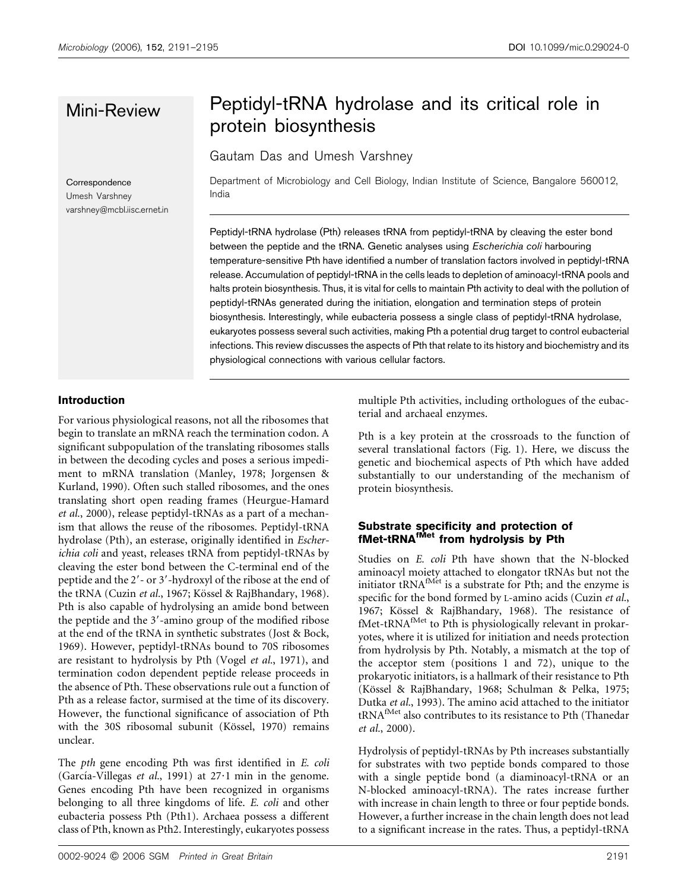Correspondence Umesh Varshney varshney@mcbl.iisc.ernet.in

# Mini-Review Peptidyl-tRNA hydrolase and its critical role in protein biosynthesis

Gautam Das and Umesh Varshney

Department of Microbiology and Cell Biology, Indian Institute of Science, Bangalore 560012, India

Peptidyl-tRNA hydrolase (Pth) releases tRNA from peptidyl-tRNA by cleaving the ester bond between the peptide and the tRNA. Genetic analyses using *Escherichia coli* harbouring temperature-sensitive Pth have identified a number of translation factors involved in peptidyl-tRNA release. Accumulation of peptidyl-tRNA in the cells leads to depletion of aminoacyl-tRNA pools and halts protein biosynthesis. Thus, it is vital for cells to maintain Pth activity to deal with the pollution of peptidyl-tRNAs generated during the initiation, elongation and termination steps of protein biosynthesis. Interestingly, while eubacteria possess a single class of peptidyl-tRNA hydrolase, eukaryotes possess several such activities, making Pth a potential drug target to control eubacterial infections. This review discusses the aspects of Pth that relate to its history and biochemistry and its physiological connections with various cellular factors.

#### Introduction

For various physiological reasons, not all the ribosomes that begin to translate an mRNA reach the termination codon. A significant subpopulation of the translating ribosomes stalls in between the decoding cycles and poses a serious impediment to mRNA translation (Manley, 1978; Jorgensen & Kurland, 1990). Often such stalled ribosomes, and the ones translating short open reading frames (Heurgue-Hamard et al., 2000), release peptidyl-tRNAs as a part of a mechanism that allows the reuse of the ribosomes. Peptidyl-tRNA hydrolase (Pth), an esterase, originally identified in Escherichia coli and yeast, releases tRNA from peptidyl-tRNAs by cleaving the ester bond between the C-terminal end of the peptide and the 2'- or 3'-hydroxyl of the ribose at the end of the tRNA (Cuzin et al., 1967; Kössel & RajBhandary, 1968). Pth is also capable of hydrolysing an amide bond between the peptide and the 3'-amino group of the modified ribose at the end of the tRNA in synthetic substrates (Jost & Bock, 1969). However, peptidyl-tRNAs bound to 70S ribosomes are resistant to hydrolysis by Pth (Vogel et al., 1971), and termination codon dependent peptide release proceeds in the absence of Pth. These observations rule out a function of Pth as a release factor, surmised at the time of its discovery. However, the functional significance of association of Pth with the 30S ribosomal subunit (Kössel, 1970) remains unclear.

The pth gene encoding Pth was first identified in E. coli (García-Villegas et al., 1991) at  $27·1$  min in the genome. Genes encoding Pth have been recognized in organisms belonging to all three kingdoms of life. E. coli and other eubacteria possess Pth (Pth1). Archaea possess a different class of Pth, known as Pth2. Interestingly, eukaryotes possess

multiple Pth activities, including orthologues of the eubacterial and archaeal enzymes.

Pth is a key protein at the crossroads to the function of several translational factors (Fig. 1). Here, we discuss the genetic and biochemical aspects of Pth which have added substantially to our understanding of the mechanism of protein biosynthesis.

#### Substrate specificity and protection of fMet-tRNA<sup>fMet</sup> from hydrolysis by Pth

Studies on E. coli Pth have shown that the N-blocked aminoacyl moiety attached to elongator tRNAs but not the initiator  $tRNA<sup>fMet</sup>$  is a substrate for Pth; and the enzyme is specific for the bond formed by L-amino acids (Cuzin et al., 1967; Kössel & RajBhandary, 1968). The resistance of fMet-tRNA<sup>fMet</sup> to Pth is physiologically relevant in prokaryotes, where it is utilized for initiation and needs protection from hydrolysis by Pth. Notably, a mismatch at the top of the acceptor stem (positions 1 and 72), unique to the prokaryotic initiators, is a hallmark of their resistance to Pth (Kössel & RajBhandary, 1968; Schulman & Pelka, 1975; Dutka et al., 1993). The amino acid attached to the initiator  $\text{tRNA}^{\text{fMet}}$  also contributes to its resistance to Pth (Thanedar et al., 2000).

Hydrolysis of peptidyl-tRNAs by Pth increases substantially for substrates with two peptide bonds compared to those with a single peptide bond (a diaminoacyl-tRNA or an N-blocked aminoacyl-tRNA). The rates increase further with increase in chain length to three or four peptide bonds. However, a further increase in the chain length does not lead to a significant increase in the rates. Thus, a peptidyl-tRNA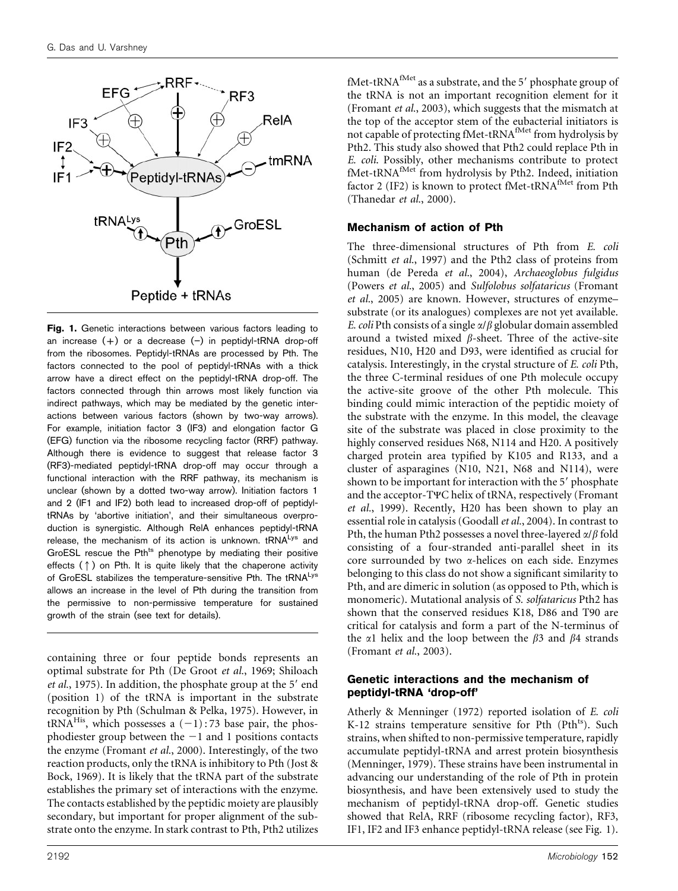

Fig. 1. Genetic interactions between various factors leading to an increase  $(+)$  or a decrease  $(-)$  in peptidyl-tRNA drop-off from the ribosomes. Peptidyl-tRNAs are processed by Pth. The factors connected to the pool of peptidyl-tRNAs with a thick arrow have a direct effect on the peptidyl-tRNA drop-off. The factors connected through thin arrows most likely function via indirect pathways, which may be mediated by the genetic interactions between various factors (shown by two-way arrows). For example, initiation factor 3 (IF3) and elongation factor G (EFG) function via the ribosome recycling factor (RRF) pathway. Although there is evidence to suggest that release factor 3 (RF3)-mediated peptidyl-tRNA drop-off may occur through a functional interaction with the RRF pathway, its mechanism is unclear (shown by a dotted two-way arrow). Initiation factors 1 and 2 (IF1 and IF2) both lead to increased drop-off of peptidyltRNAs by 'abortive initiation', and their simultaneous overproduction is synergistic. Although RelA enhances peptidyl-tRNA release, the mechanism of its action is unknown.  $tRNA<sup>Lys</sup>$  and GroESL rescue the Pth<sup>ts</sup> phenotype by mediating their positive effects  $(\uparrow)$  on Pth. It is quite likely that the chaperone activity of GroESL stabilizes the temperature-sensitive Pth. The tRNALys allows an increase in the level of Pth during the transition from the permissive to non-permissive temperature for sustained growth of the strain (see text for details).

containing three or four peptide bonds represents an optimal substrate for Pth (De Groot et al., 1969; Shiloach et al., 1975). In addition, the phosphate group at the  $5'$  end (position 1) of the tRNA is important in the substrate recognition by Pth (Schulman & Pelka, 1975). However, in tRNA<sup>His</sup>, which possesses a  $(-1)$ : 73 base pair, the phosphodiester group between the  $-1$  and 1 positions contacts the enzyme (Fromant et al., 2000). Interestingly, of the two reaction products, only the tRNA is inhibitory to Pth (Jost & Bock, 1969). It is likely that the tRNA part of the substrate establishes the primary set of interactions with the enzyme. The contacts established by the peptidic moiety are plausibly secondary, but important for proper alignment of the substrate onto the enzyme. In stark contrast to Pth, Pth2 utilizes

fMet-tRNA $^{fMet}$  as a substrate, and the 5' phosphate group of the tRNA is not an important recognition element for it (Fromant et al., 2003), which suggests that the mismatch at the top of the acceptor stem of the eubacterial initiators is not capable of protecting fMet-tRNA<sup>fMet</sup> from hydrolysis by Pth2. This study also showed that Pth2 could replace Pth in E. coli. Possibly, other mechanisms contribute to protect E. toth I ussidity, other incommunity contributed, initiation fMet-tRNA<sup>fMet</sup> from hydrolysis by Pth2. Indeed, initiation factor 2 (IF2) is known to protect fMet-tRNA<sup>fMet</sup> from Pth (Thanedar et al., 2000).

#### Mechanism of action of Pth

The three-dimensional structures of Pth from E. coli (Schmitt et al., 1997) and the Pth2 class of proteins from human (de Pereda et al., 2004), Archaeoglobus fulgidus (Powers et al., 2005) and Sulfolobus solfataricus (Fromant et al., 2005) are known. However, structures of enzyme– substrate (or its analogues) complexes are not yet available. E. coli Pth consists of a single  $\alpha/\beta$  globular domain assembled around a twisted mixed  $\beta$ -sheet. Three of the active-site residues, N10, H20 and D93, were identified as crucial for catalysis. Interestingly, in the crystal structure of E. coli Pth, the three C-terminal residues of one Pth molecule occupy the active-site groove of the other Pth molecule. This binding could mimic interaction of the peptidic moiety of the substrate with the enzyme. In this model, the cleavage site of the substrate was placed in close proximity to the highly conserved residues N68, N114 and H20. A positively charged protein area typified by K105 and R133, and a cluster of asparagines (N10, N21, N68 and N114), were shown to be important for interaction with the 5' phosphate and the acceptor-T*Y*C helix of tRNA, respectively (Fromant et al., 1999). Recently, H20 has been shown to play an essential role in catalysis (Goodall et al., 2004). In contrast to Pth, the human Pth2 possesses a novel three-layered  $\alpha/\beta$  fold consisting of a four-stranded anti-parallel sheet in its core surrounded by two a-helices on each side. Enzymes belonging to this class do not show a significant similarity to Pth, and are dimeric in solution (as opposed to Pth, which is monomeric). Mutational analysis of S. solfataricus Pth2 has shown that the conserved residues K18, D86 and T90 are critical for catalysis and form a part of the N-terminus of the  $\alpha$ 1 helix and the loop between the  $\beta$ 3 and  $\beta$ 4 strands (Fromant et al., 2003).

#### Genetic interactions and the mechanism of peptidyl-tRNA 'drop-off'

Atherly & Menninger (1972) reported isolation of E. coli K-12 strains temperature sensitive for Pth (Pth<sup>ts</sup>). Such strains, when shifted to non-permissive temperature, rapidly accumulate peptidyl-tRNA and arrest protein biosynthesis (Menninger, 1979). These strains have been instrumental in advancing our understanding of the role of Pth in protein biosynthesis, and have been extensively used to study the mechanism of peptidyl-tRNA drop-off. Genetic studies showed that RelA, RRF (ribosome recycling factor), RF3, IF1, IF2 and IF3 enhance peptidyl-tRNA release (see Fig. 1).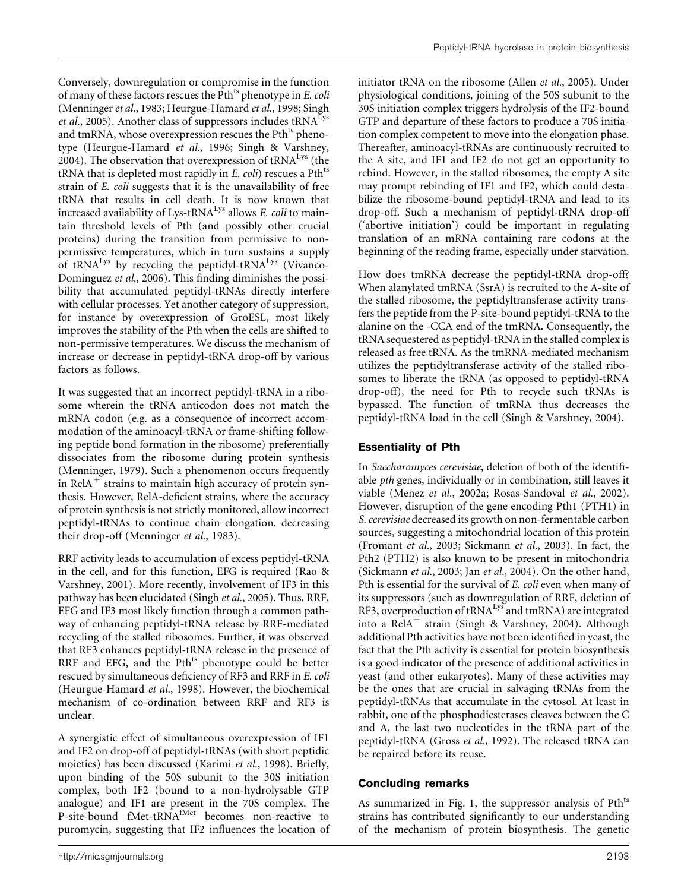Conversely, downregulation or compromise in the function of many of these factors rescues the Pth<sup>ts</sup> phenotype in *E. coli* (Menninger et al., 1983; Heurgue-Hamard et al., 1998; Singh *et al.*, 2005). Another class of suppressors includes  $tRNA<sup>Lys</sup>$ and tmRNA, whose overexpression rescues the Pth<sup>ts</sup> phenotype (Heurgue-Hamard et al., 1996; Singh & Varshney, 2004). The observation that overexpression of  $tRNA<sup>Lys</sup>$  (the tRNA that is depleted most rapidly in  $E$ . *coli*) rescues a Pth<sup>ts</sup> strain of E. coli suggests that it is the unavailability of free tRNA that results in cell death. It is now known that increased availability of Lys- $tRNA<sup>Lys</sup>$  allows E. coli to maintain threshold levels of Pth (and possibly other crucial proteins) during the transition from permissive to nonpermissive temperatures, which in turn sustains a supply of tRNA<sup>Lys</sup> by recycling the peptidyl-tRNA<sup>Lys</sup> (Vivanco-Dominguez et al., 2006). This finding diminishes the possibility that accumulated peptidyl-tRNAs directly interfere with cellular processes. Yet another category of suppression, for instance by overexpression of GroESL, most likely improves the stability of the Pth when the cells are shifted to non-permissive temperatures. We discuss the mechanism of increase or decrease in peptidyl-tRNA drop-off by various factors as follows.

It was suggested that an incorrect peptidyl-tRNA in a ribosome wherein the tRNA anticodon does not match the mRNA codon (e.g. as a consequence of incorrect accommodation of the aminoacyl-tRNA or frame-shifting following peptide bond formation in the ribosome) preferentially dissociates from the ribosome during protein synthesis (Menninger, 1979). Such a phenomenon occurs frequently in Rel $A^+$  strains to maintain high accuracy of protein synthesis. However, RelA-deficient strains, where the accuracy of protein synthesis is not strictly monitored, allow incorrect peptidyl-tRNAs to continue chain elongation, decreasing their drop-off (Menninger et al., 1983).

RRF activity leads to accumulation of excess peptidyl-tRNA in the cell, and for this function, EFG is required (Rao & Varshney, 2001). More recently, involvement of IF3 in this pathway has been elucidated (Singh et al., 2005). Thus, RRF, EFG and IF3 most likely function through a common pathway of enhancing peptidyl-tRNA release by RRF-mediated recycling of the stalled ribosomes. Further, it was observed that RF3 enhances peptidyl-tRNA release in the presence of RRF and EFG, and the Pth<sup>ts</sup> phenotype could be better rescued by simultaneous deficiency of RF3 and RRF in E. coli (Heurgue-Hamard et al., 1998). However, the biochemical mechanism of co-ordination between RRF and RF3 is unclear.

A synergistic effect of simultaneous overexpression of IF1 and IF2 on drop-off of peptidyl-tRNAs (with short peptidic moieties) has been discussed (Karimi et al., 1998). Briefly, upon binding of the 50S subunit to the 30S initiation complex, both IF2 (bound to a non-hydrolysable GTP analogue) and IF1 are present in the 70S complex. The P-site-bound fMet-tRNA<sup>fMet</sup> becomes non-reactive to puromycin, suggesting that IF2 influences the location of initiator tRNA on the ribosome (Allen *et al.*, 2005). Under physiological conditions, joining of the 50S subunit to the 30S initiation complex triggers hydrolysis of the IF2-bound GTP and departure of these factors to produce a 70S initiation complex competent to move into the elongation phase. Thereafter, aminoacyl-tRNAs are continuously recruited to the A site, and IF1 and IF2 do not get an opportunity to rebind. However, in the stalled ribosomes, the empty A site may prompt rebinding of IF1 and IF2, which could destabilize the ribosome-bound peptidyl-tRNA and lead to its drop-off. Such a mechanism of peptidyl-tRNA drop-off ('abortive initiation') could be important in regulating translation of an mRNA containing rare codons at the beginning of the reading frame, especially under starvation.

How does tmRNA decrease the peptidyl-tRNA drop-off? When alanylated tmRNA (SsrA) is recruited to the A-site of the stalled ribosome, the peptidyltransferase activity transfers the peptide from the P-site-bound peptidyl-tRNA to the alanine on the -CCA end of the tmRNA. Consequently, the tRNA sequestered as peptidyl-tRNA in the stalled complex is released as free tRNA. As the tmRNA-mediated mechanism utilizes the peptidyltransferase activity of the stalled ribosomes to liberate the tRNA (as opposed to peptidyl-tRNA drop-off), the need for Pth to recycle such tRNAs is bypassed. The function of tmRNA thus decreases the peptidyl-tRNA load in the cell (Singh & Varshney, 2004).

### Essentiality of Pth

In Saccharomyces cerevisiae, deletion of both of the identifiable pth genes, individually or in combination, still leaves it viable (Menez et al., 2002a; Rosas-Sandoval et al., 2002). However, disruption of the gene encoding Pth1 (PTH1) in S. cerevisiae decreased its growth on non-fermentable carbon sources, suggesting a mitochondrial location of this protein (Fromant et al., 2003; Sickmann et al., 2003). In fact, the Pth2 (PTH2) is also known to be present in mitochondria (Sickmann et al., 2003; Jan et al., 2004). On the other hand, Pth is essential for the survival of E. coli even when many of its suppressors (such as downregulation of RRF, deletion of RF3, overproduction of  $tRNA<sup>Lys</sup>$  and  $tMRNA$ ) are integrated into a  $\text{RelA}^-$  strain (Singh & Varshney, 2004). Although additional Pth activities have not been identified in yeast, the fact that the Pth activity is essential for protein biosynthesis is a good indicator of the presence of additional activities in yeast (and other eukaryotes). Many of these activities may be the ones that are crucial in salvaging tRNAs from the peptidyl-tRNAs that accumulate in the cytosol. At least in rabbit, one of the phosphodiesterases cleaves between the C and A, the last two nucleotides in the tRNA part of the peptidyl-tRNA (Gross et al., 1992). The released tRNA can be repaired before its reuse.

# Concluding remarks

As summarized in Fig. 1, the suppressor analysis of Pth<sup>ts</sup> strains has contributed significantly to our understanding of the mechanism of protein biosynthesis. The genetic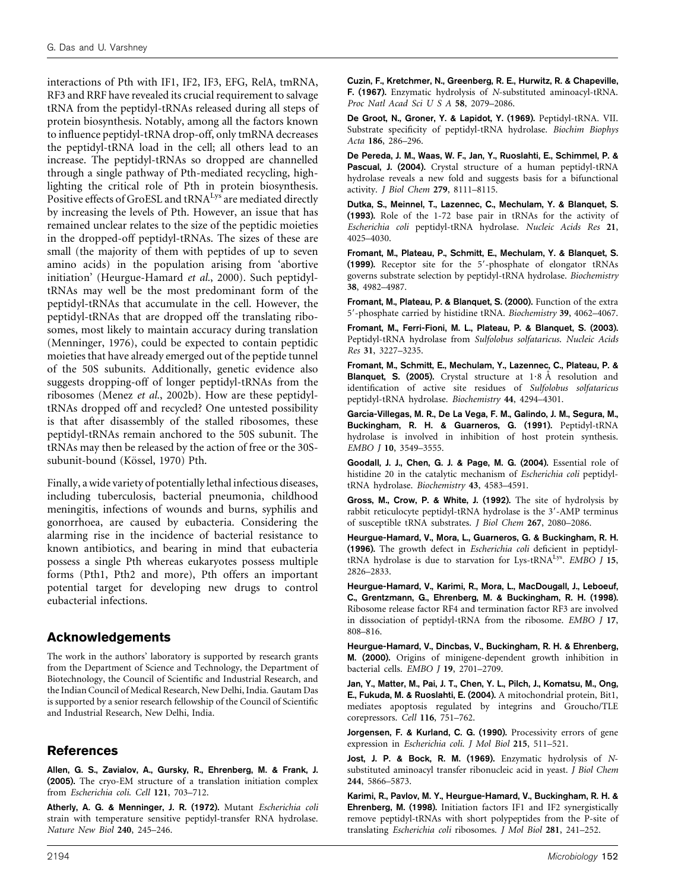interactions of Pth with IF1, IF2, IF3, EFG, RelA, tmRNA, RF3 and RRF have revealed its crucial requirement to salvage tRNA from the peptidyl-tRNAs released during all steps of protein biosynthesis. Notably, among all the factors known to influence peptidyl-tRNA drop-off, only tmRNA decreases the peptidyl-tRNA load in the cell; all others lead to an increase. The peptidyl-tRNAs so dropped are channelled through a single pathway of Pth-mediated recycling, highlighting the critical role of Pth in protein biosynthesis. Positive effects of GroESL and tRNA<sup>Lys</sup> are mediated directly by increasing the levels of Pth. However, an issue that has remained unclear relates to the size of the peptidic moieties in the dropped-off peptidyl-tRNAs. The sizes of these are small (the majority of them with peptides of up to seven amino acids) in the population arising from 'abortive initiation' (Heurgue-Hamard et al., 2000). Such peptidyltRNAs may well be the most predominant form of the peptidyl-tRNAs that accumulate in the cell. However, the peptidyl-tRNAs that are dropped off the translating ribosomes, most likely to maintain accuracy during translation (Menninger, 1976), could be expected to contain peptidic moieties that have already emerged out of the peptide tunnel of the 50S subunits. Additionally, genetic evidence also suggests dropping-off of longer peptidyl-tRNAs from the ribosomes (Menez et al., 2002b). How are these peptidyltRNAs dropped off and recycled? One untested possibility is that after disassembly of the stalled ribosomes, these peptidyl-tRNAs remain anchored to the 50S subunit. The tRNAs may then be released by the action of free or the 30Ssubunit-bound (Kössel, 1970) Pth.

Finally, a wide variety of potentially lethal infectious diseases, including tuberculosis, bacterial pneumonia, childhood meningitis, infections of wounds and burns, syphilis and gonorrhoea, are caused by eubacteria. Considering the alarming rise in the incidence of bacterial resistance to known antibiotics, and bearing in mind that eubacteria possess a single Pth whereas eukaryotes possess multiple forms (Pth1, Pth2 and more), Pth offers an important potential target for developing new drugs to control eubacterial infections.

# Acknowledgements

The work in the authors' laboratory is supported by research grants from the Department of Science and Technology, the Department of Biotechnology, the Council of Scientific and Industrial Research, and the Indian Council of Medical Research, New Delhi, India. Gautam Das is supported by a senior research fellowship of the Council of Scientific and Industrial Research, New Delhi, India.

# References

Allen, G. S., Zavialov, A., Gursky, R., Ehrenberg, M. & Frank, J. (2005). The cryo-EM structure of a translation initiation complex from Escherichia coli. Cell 121, 703–712.

Atherly, A. G. & Menninger, J. R. (1972). Mutant Escherichia coli strain with temperature sensitive peptidyl-transfer RNA hydrolase. Nature New Biol 240, 245–246.

Cuzin, F., Kretchmer, N., Greenberg, R. E., Hurwitz, R. & Chapeville, F. (1967). Enzymatic hydrolysis of N-substituted aminoacyl-tRNA. Proc Natl Acad Sci U S A 58, 2079–2086.

De Groot, N., Groner, Y. & Lapidot, Y. (1969). Peptidyl-tRNA. VII. Substrate specificity of peptidyl-tRNA hydrolase. Biochim Biophys Acta 186, 286–296.

De Pereda, J. M., Waas, W. F., Jan, Y., Ruoslahti, E., Schimmel, P. & Pascual, J. (2004). Crystal structure of a human peptidyl-tRNA hydrolase reveals a new fold and suggests basis for a bifunctional activity. J Biol Chem 279, 8111–8115.

Dutka, S., Meinnel, T., Lazennec, C., Mechulam, Y. & Blanquet, S. (1993). Role of the 1-72 base pair in tRNAs for the activity of Escherichia coli peptidyl-tRNA hydrolase. Nucleic Acids Res 21, 4025–4030.

Fromant, M., Plateau, P., Schmitt, E., Mechulam, Y. & Blanquet, S. (1999). Receptor site for the 5'-phosphate of elongator tRNAs governs substrate selection by peptidyl-tRNA hydrolase. Biochemistry 38, 4982–4987.

Fromant, M., Plateau, P. & Blanquet, S. (2000). Function of the extra 5'-phosphate carried by histidine tRNA. Biochemistry 39, 4062-4067.

Fromant, M., Ferri-Fioni, M. L., Plateau, P. & Blanquet, S. (2003). Peptidyl-tRNA hydrolase from Sulfolobus solfataricus. Nucleic Acids Res 31, 3227–3235.

Fromant, M., Schmitt, E., Mechulam, Y., Lazennec, C., Plateau, P. & **Blanquet, S. (2005).** Crystal structure at  $1.8 \text{ Å}$  resolution and identification of active site residues of Sulfolobus solfataricus peptidyl-tRNA hydrolase. Biochemistry 44, 4294–4301.

García-Villegas, M. R., De La Vega, F. M., Galindo, J. M., Segura, M., Buckingham, R. H. & Guarneros, G. (1991). Peptidyl-tRNA hydrolase is involved in inhibition of host protein synthesis. EMBO J 10, 3549–3555.

Goodall, J. J., Chen, G. J. & Page, M. G. (2004). Essential role of histidine 20 in the catalytic mechanism of Escherichia coli peptidyltRNA hydrolase. Biochemistry 43, 4583–4591.

Gross, M., Crow, P. & White, J. (1992). The site of hydrolysis by rabbit reticulocyte peptidyl-tRNA hydrolase is the 3'-AMP terminus of susceptible tRNA substrates. J Biol Chem 267, 2080–2086.

Heurgue-Hamard, V., Mora, L., Guarneros, G. & Buckingham, R. H. (1996). The growth defect in Escherichia coli deficient in peptidyltRNA hydrolase is due to starvation for Lys-tRNA<sup>Lys</sup>. EMBO J 15, 2826–2833.

Heurgue-Hamard, V., Karimi, R., Mora, L., MacDougall, J., Leboeuf, C., Grentzmann, G., Ehrenberg, M. & Buckingham, R. H. (1998). Ribosome release factor RF4 and termination factor RF3 are involved in dissociation of peptidyl-tRNA from the ribosome. EMBO J 17, 808–816.

Heurgue-Hamard, V., Dincbas, V., Buckingham, R. H. & Ehrenberg, M. (2000). Origins of minigene-dependent growth inhibition in bacterial cells. EMBO J 19, 2701–2709.

Jan, Y., Matter, M., Pai, J. T., Chen, Y. L., Pilch, J., Komatsu, M., Ong, E., Fukuda, M. & Ruoslahti, E. (2004). A mitochondrial protein, Bit1, mediates apoptosis regulated by integrins and Groucho/TLE corepressors. Cell 116, 751–762.

Jorgensen, F. & Kurland, C. G. (1990). Processivity errors of gene expression in Escherichia coli. J Mol Biol 215, 511–521.

Jost, J. P. & Bock, R. M. (1969). Enzymatic hydrolysis of Nsubstituted aminoacyl transfer ribonucleic acid in yeast. J Biol Chem 244, 5866–5873.

Karimi, R., Pavlov, M. Y., Heurgue-Hamard, V., Buckingham, R. H. & Ehrenberg, M. (1998). Initiation factors IF1 and IF2 synergistically remove peptidyl-tRNAs with short polypeptides from the P-site of translating Escherichia coli ribosomes. J Mol Biol 281, 241–252.